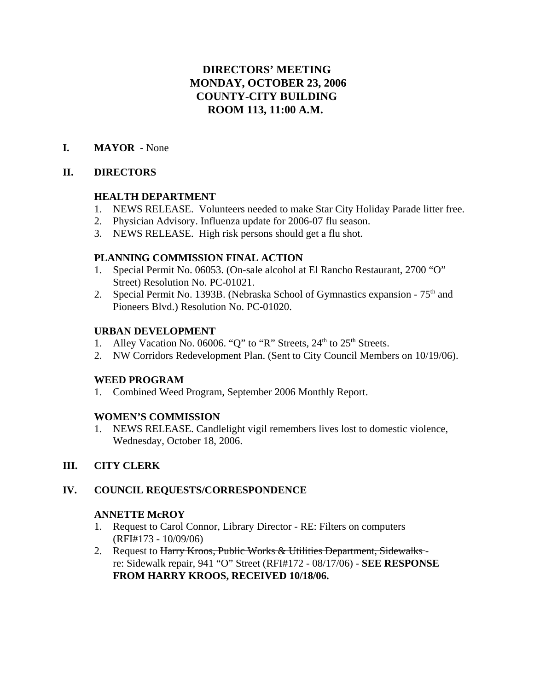# **DIRECTORS' MEETING MONDAY, OCTOBER 23, 2006 COUNTY-CITY BUILDING ROOM 113, 11:00 A.M.**

# **I. MAYOR** - None

# **II. DIRECTORS**

# **HEALTH DEPARTMENT**

- 1. NEWS RELEASE. Volunteers needed to make Star City Holiday Parade litter free.
- 2. Physician Advisory. Influenza update for 2006-07 flu season.
- 3. NEWS RELEASE. High risk persons should get a flu shot.

# **PLANNING COMMISSION FINAL ACTION**

- 1. Special Permit No. 06053. (On-sale alcohol at El Rancho Restaurant, 2700 "O" Street) Resolution No. PC-01021.
- 2. Special Permit No. 1393B. (Nebraska School of Gymnastics expansion  $75<sup>th</sup>$  and Pioneers Blvd.) Resolution No. PC-01020.

# **URBAN DEVELOPMENT**

- 1. Alley Vacation No. 06006. "Q" to "R" Streets,  $24<sup>th</sup>$  to  $25<sup>th</sup>$  Streets.
- 2. NW Corridors Redevelopment Plan. (Sent to City Council Members on 10/19/06).

# **WEED PROGRAM**

1. Combined Weed Program, September 2006 Monthly Report.

# **WOMEN'S COMMISSION**

1. NEWS RELEASE. Candlelight vigil remembers lives lost to domestic violence, Wednesday, October 18, 2006.

# **III. CITY CLERK**

# **IV. COUNCIL REQUESTS/CORRESPONDENCE**

# **ANNETTE McROY**

- 1. Request to Carol Connor, Library Director RE: Filters on computers (RFI#173 - 10/09/06)
- 2. Request to Harry Kroos, Public Works & Utilities Department, Sidewalksre: Sidewalk repair, 941 "O" Street (RFI#172 - 08/17/06) - **SEE RESPONSE FROM HARRY KROOS, RECEIVED 10/18/06.**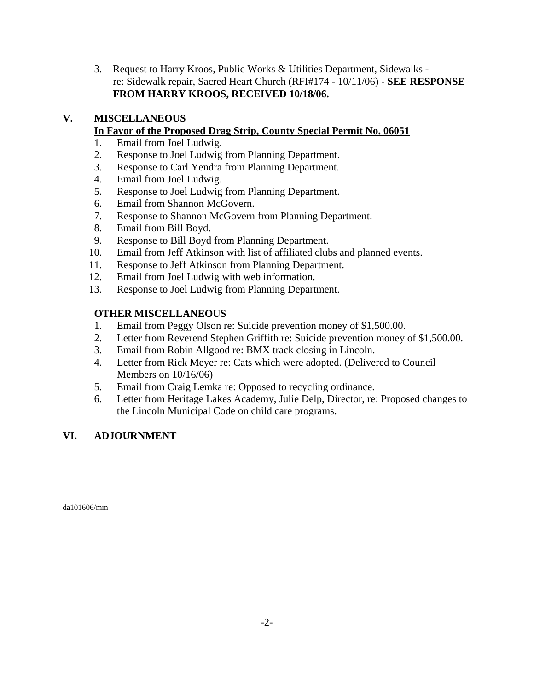3. Request to Harry Kroos, Public Works & Utilities Department, Sidewalksre: Sidewalk repair, Sacred Heart Church (RFI#174 - 10/11/06) - **SEE RESPONSE FROM HARRY KROOS, RECEIVED 10/18/06.**

# **V. MISCELLANEOUS**

# **In Favor of the Proposed Drag Strip, County Special Permit No. 06051**

- 1. Email from Joel Ludwig.
- 2. Response to Joel Ludwig from Planning Department.
- 3. Response to Carl Yendra from Planning Department.
- 4. Email from Joel Ludwig.
- 5. Response to Joel Ludwig from Planning Department.
- 6. Email from Shannon McGovern.
- 7. Response to Shannon McGovern from Planning Department.
- 8. Email from Bill Boyd.
- 9. Response to Bill Boyd from Planning Department.
- 10. Email from Jeff Atkinson with list of affiliated clubs and planned events.
- 11. Response to Jeff Atkinson from Planning Department.
- 12. Email from Joel Ludwig with web information.
- 13. Response to Joel Ludwig from Planning Department.

# **OTHER MISCELLANEOUS**

- 1. Email from Peggy Olson re: Suicide prevention money of \$1,500.00.
- 2. Letter from Reverend Stephen Griffith re: Suicide prevention money of \$1,500.00.
- 3. Email from Robin Allgood re: BMX track closing in Lincoln.
- 4. Letter from Rick Meyer re: Cats which were adopted. (Delivered to Council Members on 10/16/06)
- 5. Email from Craig Lemka re: Opposed to recycling ordinance.
- 6. Letter from Heritage Lakes Academy, Julie Delp, Director, re: Proposed changes to the Lincoln Municipal Code on child care programs.

# **VI. ADJOURNMENT**

da101606/mm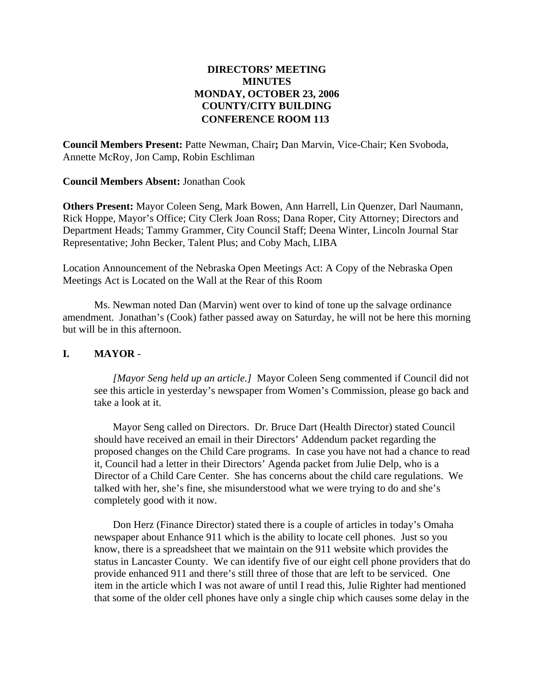## **DIRECTORS' MEETING MINUTES MONDAY, OCTOBER 23, 2006 COUNTY/CITY BUILDING CONFERENCE ROOM 113**

**Council Members Present:** Patte Newman, Chair**;** Dan Marvin, Vice-Chair; Ken Svoboda, Annette McRoy, Jon Camp, Robin Eschliman

**Council Members Absent:** Jonathan Cook

**Others Present:** Mayor Coleen Seng, Mark Bowen, Ann Harrell, Lin Quenzer, Darl Naumann, Rick Hoppe, Mayor's Office; City Clerk Joan Ross; Dana Roper, City Attorney; Directors and Department Heads; Tammy Grammer, City Council Staff; Deena Winter, Lincoln Journal Star Representative; John Becker, Talent Plus; and Coby Mach, LIBA

Location Announcement of the Nebraska Open Meetings Act: A Copy of the Nebraska Open Meetings Act is Located on the Wall at the Rear of this Room

Ms. Newman noted Dan (Marvin) went over to kind of tone up the salvage ordinance amendment. Jonathan's (Cook) father passed away on Saturday, he will not be here this morning but will be in this afternoon.

## **I. MAYOR** -

*[Mayor Seng held up an article.]* Mayor Coleen Seng commented if Council did not see this article in yesterday's newspaper from Women's Commission, please go back and take a look at it.

Mayor Seng called on Directors. Dr. Bruce Dart (Health Director) stated Council should have received an email in their Directors' Addendum packet regarding the proposed changes on the Child Care programs. In case you have not had a chance to read it, Council had a letter in their Directors' Agenda packet from Julie Delp, who is a Director of a Child Care Center. She has concerns about the child care regulations. We talked with her, she's fine, she misunderstood what we were trying to do and she's completely good with it now.

Don Herz (Finance Director) stated there is a couple of articles in today's Omaha newspaper about Enhance 911 which is the ability to locate cell phones. Just so you know, there is a spreadsheet that we maintain on the 911 website which provides the status in Lancaster County. We can identify five of our eight cell phone providers that do provide enhanced 911 and there's still three of those that are left to be serviced. One item in the article which I was not aware of until I read this, Julie Righter had mentioned that some of the older cell phones have only a single chip which causes some delay in the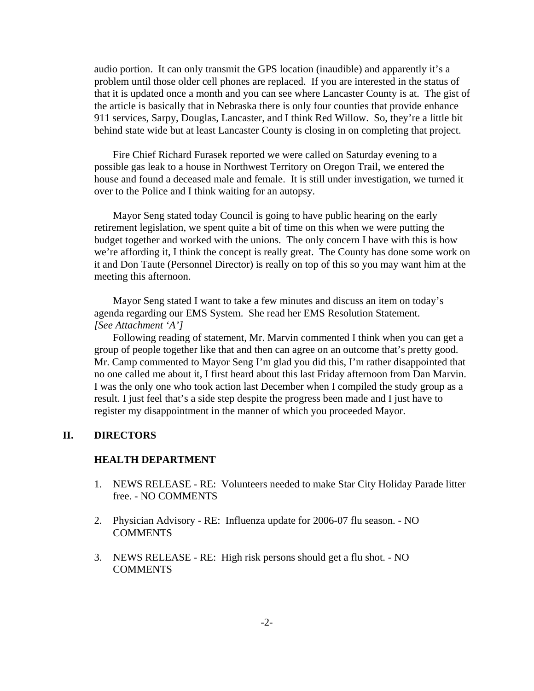audio portion. It can only transmit the GPS location (inaudible) and apparently it's a problem until those older cell phones are replaced. If you are interested in the status of that it is updated once a month and you can see where Lancaster County is at. The gist of the article is basically that in Nebraska there is only four counties that provide enhance 911 services, Sarpy, Douglas, Lancaster, and I think Red Willow. So, they're a little bit behind state wide but at least Lancaster County is closing in on completing that project.

Fire Chief Richard Furasek reported we were called on Saturday evening to a possible gas leak to a house in Northwest Territory on Oregon Trail, we entered the house and found a deceased male and female. It is still under investigation, we turned it over to the Police and I think waiting for an autopsy.

Mayor Seng stated today Council is going to have public hearing on the early retirement legislation, we spent quite a bit of time on this when we were putting the budget together and worked with the unions. The only concern I have with this is how we're affording it, I think the concept is really great. The County has done some work on it and Don Taute (Personnel Director) is really on top of this so you may want him at the meeting this afternoon.

Mayor Seng stated I want to take a few minutes and discuss an item on today's agenda regarding our EMS System. She read her EMS Resolution Statement. *[See Attachment 'A']*

Following reading of statement, Mr. Marvin commented I think when you can get a group of people together like that and then can agree on an outcome that's pretty good. Mr. Camp commented to Mayor Seng I'm glad you did this, I'm rather disappointed that no one called me about it, I first heard about this last Friday afternoon from Dan Marvin. I was the only one who took action last December when I compiled the study group as a result. I just feel that's a side step despite the progress been made and I just have to register my disappointment in the manner of which you proceeded Mayor.

## **II. DIRECTORS**

#### **HEALTH DEPARTMENT**

- 1. NEWS RELEASE RE: Volunteers needed to make Star City Holiday Parade litter free. - NO COMMENTS
- 2. Physician Advisory RE: Influenza update for 2006-07 flu season. NO **COMMENTS**
- 3. NEWS RELEASE RE: High risk persons should get a flu shot. NO COMMENTS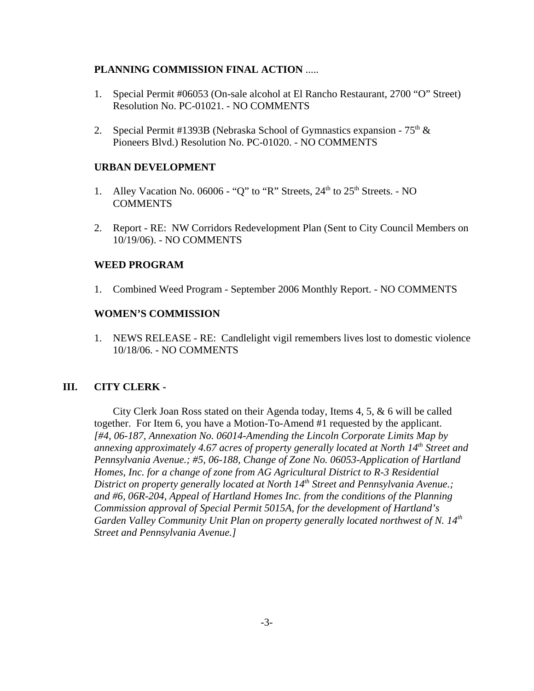## **PLANNING COMMISSION FINAL ACTION** .....

- 1. Special Permit #06053 (On-sale alcohol at El Rancho Restaurant, 2700 "O" Street) Resolution No. PC-01021. - NO COMMENTS
- 2. Special Permit #1393B (Nebraska School of Gymnastics expansion  $75<sup>th</sup>$  & Pioneers Blvd.) Resolution No. PC-01020. - NO COMMENTS

## **URBAN DEVELOPMENT**

- 1. Alley Vacation No. 06006 "Q" to "R" Streets,  $24<sup>th</sup>$  to  $25<sup>th</sup>$  Streets. NO **COMMENTS**
- 2. Report RE: NW Corridors Redevelopment Plan (Sent to City Council Members on 10/19/06). - NO COMMENTS

## **WEED PROGRAM**

1. Combined Weed Program - September 2006 Monthly Report. - NO COMMENTS

## **WOMEN'S COMMISSION**

1. NEWS RELEASE - RE: Candlelight vigil remembers lives lost to domestic violence 10/18/06. - NO COMMENTS

## **III. CITY CLERK -**

City Clerk Joan Ross stated on their Agenda today, Items 4, 5, & 6 will be called together. For Item 6, you have a Motion-To-Amend #1 requested by the applicant. *[#4, 06-187, Annexation No. 06014-Amending the Lincoln Corporate Limits Map by annexing approximately 4.67 acres of property generally located at North 14th Street and Pennsylvania Avenue.; #5, 06-188, Change of Zone No. 06053-Application of Hartland Homes, Inc. for a change of zone from AG Agricultural District to R-3 Residential District on property generally located at North 14<sup>th</sup> Street and Pennsylvania Avenue.; and #6, 06R-204, Appeal of Hartland Homes Inc. from the conditions of the Planning Commission approval of Special Permit 5015A, for the development of Hartland's Garden Valley Community Unit Plan on property generally located northwest of N. 14th Street and Pennsylvania Avenue.]*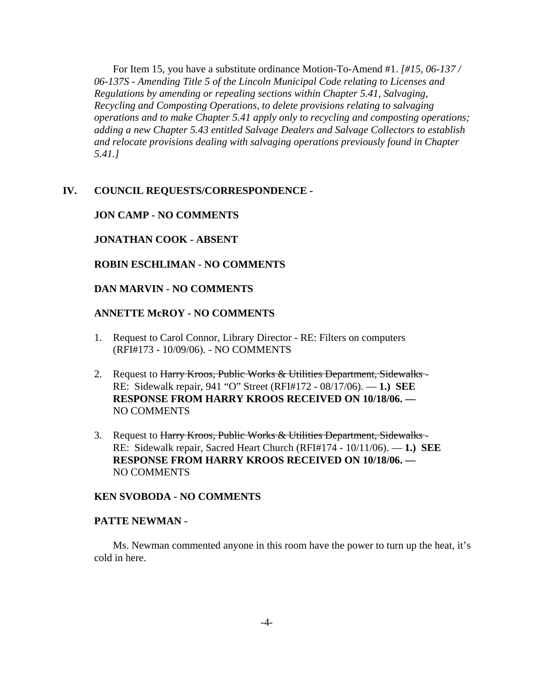For Item 15, you have a substitute ordinance Motion-To-Amend #1. *[#15, 06-137 / 06-137S - Amending Title 5 of the Lincoln Municipal Code relating to Licenses and Regulations by amending or repealing sections within Chapter 5.41, Salvaging, Recycling and Composting Operations, to delete provisions relating to salvaging operations and to make Chapter 5.41 apply only to recycling and composting operations; adding a new Chapter 5.43 entitled Salvage Dealers and Salvage Collectors to establish and relocate provisions dealing with salvaging operations previously found in Chapter 5.41.]* 

#### **IV. COUNCIL REQUESTS/CORRESPONDENCE -**

#### **JON CAMP - NO COMMENTS**

#### **JONATHAN COOK - ABSENT**

## **ROBIN ESCHLIMAN - NO COMMENTS**

#### **DAN MARVIN - NO COMMENTS**

#### **ANNETTE McROY - NO COMMENTS**

- 1. Request to Carol Connor, Library Director RE: Filters on computers (RFI#173 - 10/09/06). - NO COMMENTS
- 2. Request to Harry Kroos, Public Works & Utilities Department, Sidewalks-RE: Sidewalk repair, 941 "O" Street (RFI#172 - 08/17/06). — **1.) SEE RESPONSE FROM HARRY KROOS RECEIVED ON 10/18/06. —**  NO COMMENTS
- 3. Request to Harry Kroos, Public Works & Utilities Department, Sidewalks-RE: Sidewalk repair, Sacred Heart Church (RFI#174 - 10/11/06). — **1.) SEE RESPONSE FROM HARRY KROOS RECEIVED ON 10/18/06. —**  NO COMMENTS

#### **KEN SVOBODA - NO COMMENTS**

#### **PATTE NEWMAN -**

Ms. Newman commented anyone in this room have the power to turn up the heat, it's cold in here.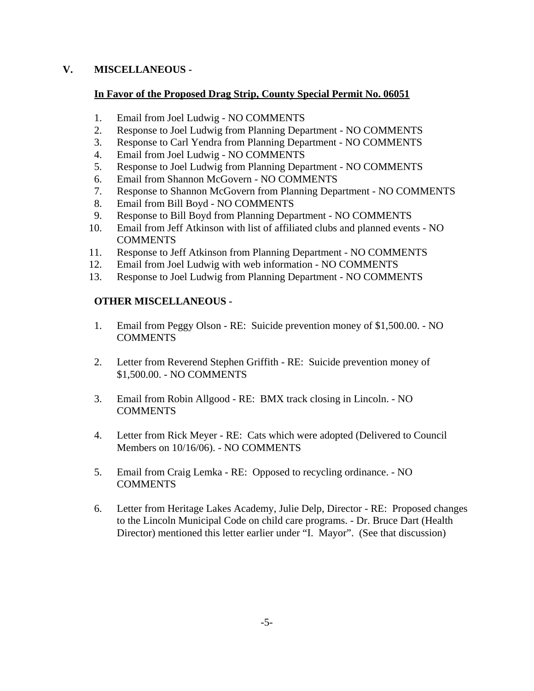## **V. MISCELLANEOUS -**

## **In Favor of the Proposed Drag Strip, County Special Permit No. 06051**

- 1. Email from Joel Ludwig NO COMMENTS
- 2. Response to Joel Ludwig from Planning Department NO COMMENTS
- 3. Response to Carl Yendra from Planning Department NO COMMENTS
- 4. Email from Joel Ludwig NO COMMENTS
- 5. Response to Joel Ludwig from Planning Department NO COMMENTS
- 6. Email from Shannon McGovern NO COMMENTS
- 7. Response to Shannon McGovern from Planning Department NO COMMENTS
- 8. Email from Bill Boyd NO COMMENTS
- 9. Response to Bill Boyd from Planning Department NO COMMENTS
- 10. Email from Jeff Atkinson with list of affiliated clubs and planned events NO **COMMENTS**
- 11. Response to Jeff Atkinson from Planning Department NO COMMENTS
- 12. Email from Joel Ludwig with web information NO COMMENTS
- 13. Response to Joel Ludwig from Planning Department NO COMMENTS

# **OTHER MISCELLANEOUS -**

- 1. Email from Peggy Olson RE: Suicide prevention money of \$1,500.00. NO **COMMENTS**
- 2. Letter from Reverend Stephen Griffith RE: Suicide prevention money of \$1,500.00. - NO COMMENTS
- 3. Email from Robin Allgood RE: BMX track closing in Lincoln. NO COMMENTS
- 4. Letter from Rick Meyer RE: Cats which were adopted (Delivered to Council Members on 10/16/06). - NO COMMENTS
- 5. Email from Craig Lemka RE: Opposed to recycling ordinance. NO **COMMENTS**
- 6. Letter from Heritage Lakes Academy, Julie Delp, Director RE: Proposed changes to the Lincoln Municipal Code on child care programs. - Dr. Bruce Dart (Health Director) mentioned this letter earlier under "I. Mayor". (See that discussion)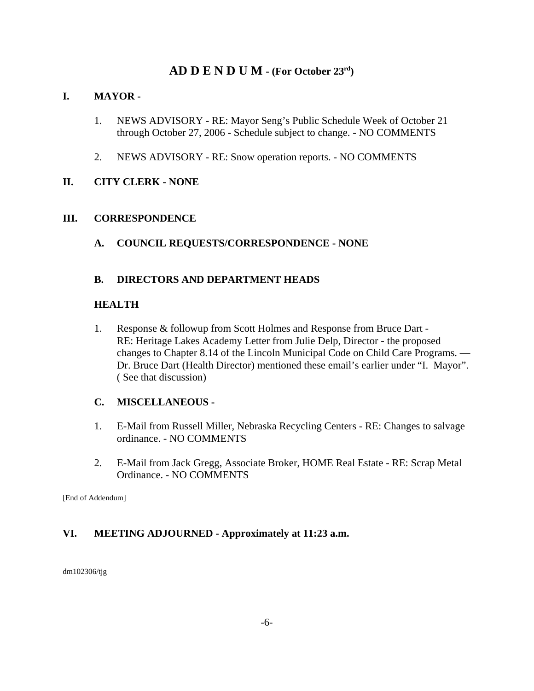# **AD D E N D U M - (For October 23rd)**

## **I. MAYOR -**

- 1. NEWS ADVISORY RE: Mayor Seng's Public Schedule Week of October 21 through October 27, 2006 - Schedule subject to change. - NO COMMENTS
- 2. NEWS ADVISORY RE: Snow operation reports. NO COMMENTS

# **II. CITY CLERK - NONE**

## **III. CORRESPONDENCE**

**A. COUNCIL REQUESTS/CORRESPONDENCE - NONE**

## **B. DIRECTORS AND DEPARTMENT HEADS**

## **HEALTH**

1. Response & followup from Scott Holmes and Response from Bruce Dart - RE: Heritage Lakes Academy Letter from Julie Delp, Director - the proposed changes to Chapter 8.14 of the Lincoln Municipal Code on Child Care Programs. — Dr. Bruce Dart (Health Director) mentioned these email's earlier under "I. Mayor". ( See that discussion)

# **C. MISCELLANEOUS -**

- 1. E-Mail from Russell Miller, Nebraska Recycling Centers RE: Changes to salvage ordinance. - NO COMMENTS
- 2. E-Mail from Jack Gregg, Associate Broker, HOME Real Estate RE: Scrap Metal Ordinance. - NO COMMENTS

[End of Addendum]

# **VI. MEETING ADJOURNED - Approximately at 11:23 a.m.**

dm102306/tjg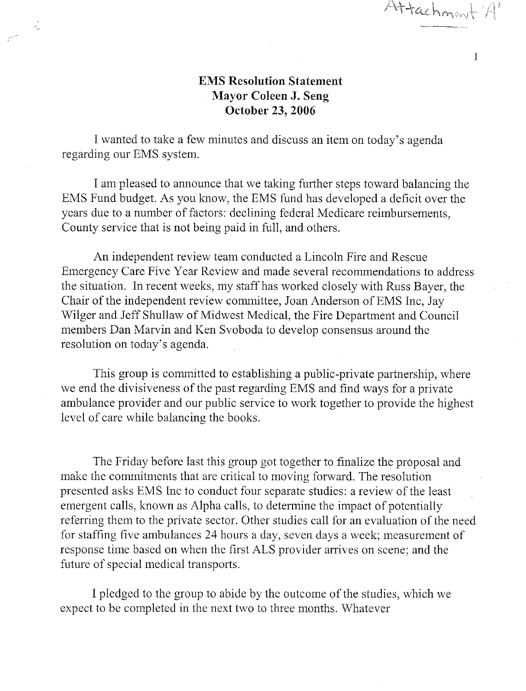Attachmont

# **EMS Resolution Statement Mayor Coleen J. Seng** October 23, 2006

I wanted to take a few minutes and discuss an item on today's agenda regarding our EMS system.

 $\mathcal{A}_\alpha$ 

 $\mathcal{L}^{\mathcal{L}^{\mathcal{L}^{\mathcal{L}^{\mathcal{L}^{\mathcal{L}^{\mathcal{L}^{\mathcal{L}^{\mathcal{L}^{\mathcal{L}^{\mathcal{L}^{\mathcal{L}^{\mathcal{L}^{\mathcal{L}^{\mathcal{L}^{\mathcal{L}^{\mathcal{L}^{\mathcal{L}^{\mathcal{L}^{\mathcal{L}^{\mathcal{L}^{\mathcal{L}^{\mathcal{L}^{\mathcal{L}^{\mathcal{L}^{\mathcal{L}^{\mathcal{L}^{\mathcal{L}^{\mathcal{L}^{\mathcal{L}^{\mathcal{L}^{\mathcal$ 

I am pleased to announce that we taking further steps toward balancing the EMS Fund budget. As you know, the EMS fund has developed a deficit over the years due to a number of factors: declining federal Medicare reimbursements, County service that is not being paid in full, and others.

An independent review team conducted a Lincoln Fire and Rescue Emergency Care Five Year Review and made several recommendations to address the situation. In recent weeks, my staff has worked closely with Russ Bayer, the Chair of the independent review committee, Joan Anderson of EMS Inc. Jay Wilger and Jeff Shullaw of Midwest Medical, the Fire Department and Council members Dan Marvin and Ken Svoboda to develop consensus around the resolution on today's agenda.

This group is committed to establishing a public-private partnership, where we end the divisiveness of the past regarding EMS and find ways for a private ambulance provider and our public service to work together to provide the highest level of care while balancing the books.

The Friday before last this group got together to finalize the proposal and make the commitments that are critical to moving forward. The resolution presented asks EMS Inc to conduct four separate studies: a review of the least emergent calls, known as Alpha calls, to determine the impact of potentially referring them to the private sector. Other studies call for an evaluation of the need for staffing five ambulances 24 hours a day, seven days a week; measurement of response time based on when the first ALS provider arrives on scene; and the future of special medical transports.

I pledged to the group to abide by the outcome of the studies, which we expect to be completed in the next two to three months. Whatever

 $\mathbf{1}$